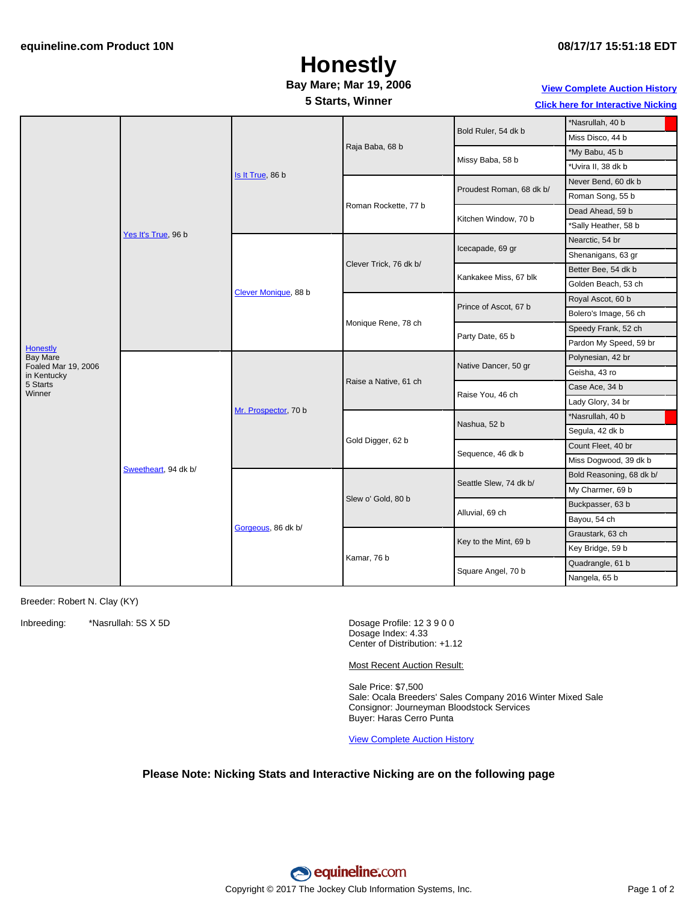## **Honestly**

### **Bay Mare; Mar 19, 2006**

#### **5 Starts, Winner**

#### **View [Complete](http://www.equineline.com/Free-Auction-Results.cfm?upsellReferenceNumber=&upsellHorseName=&upsellBreedType=&upsellHorseType=&upsellYOB=&lookupAuctionResults=true&tempHorseType=&tempSale=ALL&tempYear=ALL&search_type=HORSE&reference_number=7726354&horse_name=Fateful&horse_type=ALL&year=ALL&sale=ALL&consignor_id=&consignor_name=&buyer_id=&buyer_name=&price_range_low=&price_range_high=&availableConsignors=&availableBuyers=&fromFree5CrossPedigree=Y) Auction History**

**Click here for [Interactive](#page-1-0) Nicking**

|                                                           |                      |                      |                        |                                           | Nasrullah, 40 b                          |
|-----------------------------------------------------------|----------------------|----------------------|------------------------|-------------------------------------------|------------------------------------------|
|                                                           | Yes It's True, 96 b  | Is It True, 86 b     | Raja Baba, 68 b        | Bold Ruler, 54 dk b                       | Miss Disco, 44 b                         |
|                                                           |                      |                      |                        | Missy Baba, 58 b                          | *My Babu, 45 b                           |
|                                                           |                      |                      |                        |                                           | *Uvira II, 38 dk b                       |
|                                                           |                      |                      |                        |                                           | Never Bend, 60 dk b                      |
|                                                           |                      |                      | Roman Rockette, 77 b   | Proudest Roman, 68 dk b/                  | Roman Song, 55 b                         |
|                                                           |                      |                      |                        |                                           | Dead Ahead, 59 b                         |
|                                                           |                      |                      |                        | Kitchen Window, 70 b                      | *Sally Heather, 58 b                     |
|                                                           |                      |                      |                        |                                           | Nearctic, 54 br                          |
| <b>Honestly</b><br><b>Bay Mare</b><br>Foaled Mar 19, 2006 |                      | Clever Monique, 88 b | Clever Trick, 76 dk b/ | Icecapade, 69 gr<br>Kankakee Miss, 67 blk | Shenanigans, 63 gr                       |
|                                                           |                      |                      |                        |                                           | Better Bee, 54 dk b                      |
|                                                           |                      |                      |                        |                                           |                                          |
|                                                           |                      |                      |                        |                                           | Golden Beach, 53 ch<br>Royal Ascot, 60 b |
|                                                           |                      |                      | Monique Rene, 78 ch    | Prince of Ascot, 67 b                     |                                          |
|                                                           |                      |                      |                        | Party Date, 65 b                          | Bolero's Image, 56 ch                    |
|                                                           |                      |                      |                        |                                           | Speedy Frank, 52 ch                      |
|                                                           |                      |                      |                        |                                           | Pardon My Speed, 59 br                   |
|                                                           | Sweetheart, 94 dk b/ | Mr. Prospector, 70 b | Raise a Native, 61 ch  | Native Dancer, 50 gr                      | Polynesian, 42 br                        |
| in Kentucky                                               |                      |                      |                        |                                           | Geisha, 43 ro                            |
| 5 Starts<br>Winner                                        |                      |                      |                        | Raise You, 46 ch                          | Case Ace, 34 b                           |
|                                                           |                      |                      |                        |                                           | Lady Glory, 34 br                        |
|                                                           |                      |                      | Gold Digger, 62 b      | Nashua, 52 b                              | Nasrullah, 40 b                          |
|                                                           |                      |                      |                        |                                           | Segula, 42 dk b                          |
|                                                           |                      |                      |                        | Sequence, 46 dk b                         | Count Fleet, 40 br                       |
|                                                           |                      |                      |                        |                                           | Miss Dogwood, 39 dk b                    |
|                                                           |                      | Gorgeous, 86 dk b/   | Slew o' Gold, 80 b     | Seattle Slew, 74 dk b/                    | Bold Reasoning, 68 dk b/                 |
|                                                           |                      |                      |                        |                                           | My Charmer, 69 b                         |
|                                                           |                      |                      |                        | Alluvial, 69 ch                           | Buckpasser, 63 b                         |
|                                                           |                      |                      |                        |                                           | Bayou, 54 ch                             |
|                                                           |                      |                      | Kamar, 76 b            | Key to the Mint, 69 b                     | Graustark, 63 ch                         |
|                                                           |                      |                      |                        |                                           | Key Bridge, 59 b                         |
|                                                           |                      |                      |                        | Square Angel, 70 b                        | Quadrangle, 61 b                         |
|                                                           |                      |                      |                        |                                           | Nangela, 65 b                            |

Breeder: Robert N. Clay (KY)

Inbreeding: \*Nasrullah: 5S X 5D Dosage Profile: 12 3 9 0 0

Dosage Index: 4.33 Center of Distribution: +1.12

Most Recent Auction Result:

Sale Price: \$7,500 Sale: Ocala Breeders' Sales Company 2016 Winter Mixed Sale Consignor: Journeyman Bloodstock Services Buyer: Haras Cerro Punta

View [Complete](http://www.equineline.com/Free-Auction-Results.cfm?upsellReferenceNumber=&upsellHorseName=&upsellBreedType=&upsellHorseType=&upsellYOB=&lookupAuctionResults=true&tempHorseType=&tempSale=ALL&tempYear=ALL&search_type=HORSE&reference_number=7726354&horse_name=Fateful&horse_type=ALL&year=ALL&sale=ALL&consignor_id=&consignor_name=&buyer_id=&buyer_name=&price_range_low=&price_range_high=&availableConsignors=&availableBuyers=&fromFree5CrossPedigree=Y) Auction History

#### **Please Note: Nicking Stats and Interactive Nicking are on the following page**